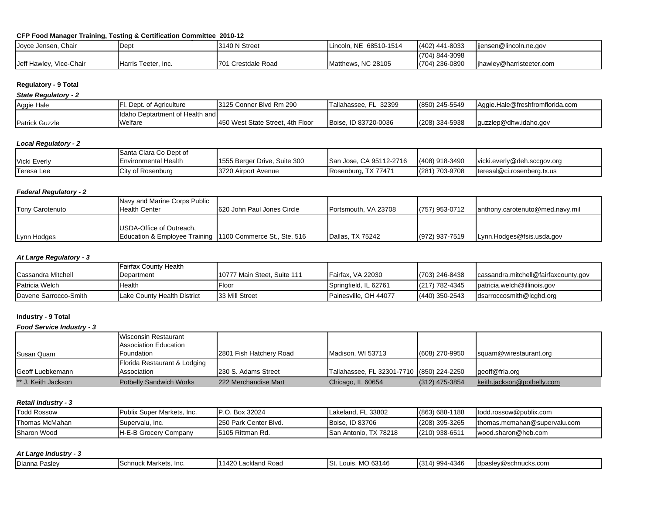## **CFP Food Manager Training, Testing & Certification Committee 2010-12**

| Joyce Jensen, Chair     | Dept                | 3140 N Street      | Lincoln, NE 68510-1514 | $(402)$ 441-8033 | jjensen@lincoln.ne.gov    |
|-------------------------|---------------------|--------------------|------------------------|------------------|---------------------------|
|                         |                     |                    |                        | (704) 844-3098   |                           |
| Jeff Hawley, Vice-Chair | Harris Teeter, Inc. | 701 Crestdale Road | Matthews, NC 28105     | (704) 236-0890   | lihawley@harristeeter.com |

# **Regulatory - 9 Total**

*State Regulatory - 2*

| Aggie Hale            | Dept. of Agriculture             | 13125 Conner Blvd Rm 290          | Tallahassee, FL 32399 | (850) 245-5549 | Aggie.Hale@freshfromflorida.com |
|-----------------------|----------------------------------|-----------------------------------|-----------------------|----------------|---------------------------------|
|                       | Ildaho Deptartment of Health and |                                   |                       |                |                                 |
| <b>Patrick Guzzle</b> | Welfare                          | 1450 West State Street. 4th Floor | Boise, ID 83720-0036  | (208) 334-5938 | quzzlep@dhw.idaho.gov           |

### *Local Regulatory - 2*

|                     | Santa Clara Co Dept of |                              |                                |                |                                    |
|---------------------|------------------------|------------------------------|--------------------------------|----------------|------------------------------------|
| <b>Vicki Everly</b> | Environmental Health   | 1555 Berger Drive, Suite 300 | <b>San Jose, CA 95112-2716</b> | (408) 918-3490 | vicki.everly@deh.sccaov.org        |
| Teresa Lee          | City of Rosenburg      | 3720 Airport Avenue          | Rosenburg, TX 77471            | (281) 703-9708 | $\cdot$ teresal@ci.rosenberg.tx.us |

## *Federal Regulatory - 2*

| Tony Carotenuto | Navy and Marine Corps Public<br><b>Health Center</b>                                  | <b>620 John Paul Jones Circle</b> | <b>Portsmouth, VA 23708</b> | (757) 953-0712     | lanthony.carotenuto@med.navy.mil |
|-----------------|---------------------------------------------------------------------------------------|-----------------------------------|-----------------------------|--------------------|----------------------------------|
| Lynn Hodges     | USDA-Office of Outreach,<br>Education & Employee Training 1100 Commerce St., Ste. 516 |                                   | Dallas, TX 75242            | $(972) 937 - 7519$ | Lynn.Hodges@fsis.usda.gov        |

## *At Large Regulatory - 3*

|                           | Fairfax County Health       |                              |                       |                  |                                      |
|---------------------------|-----------------------------|------------------------------|-----------------------|------------------|--------------------------------------|
| <b>Cassandra Mitchell</b> | Department                  | 110777 Main Steet. Suite 111 | Fairfax. VA 22030     | (703) 246-8438   | cassandra.mitchell@fairfaxcounty.gov |
| <b>Patricia Welch</b>     | Health                      | Floor                        | Springfield, IL 62761 | $(217)$ 782-4345 | patricia.welch@illinois.gov          |
| Davene Sarrocco-Smith     | Lake County Health District | 33 Mill Street               | Painesville, OH 44077 | $(440)$ 350-2543 | dsarroccosmith@lcghd.org             |

# **Industry - 9 Total**

*Food Service Industry - 3*

|                     | <b>Wisconsin Restaurant</b>    |                         |                                           |                  |                            |
|---------------------|--------------------------------|-------------------------|-------------------------------------------|------------------|----------------------------|
|                     | <b>Association Education</b>   |                         |                                           |                  |                            |
| Susan Quam          | <b>Foundation</b>              | 2801 Fish Hatchery Road | Madison, WI 53713                         | (608) 270-9950   | squam@wirestaurant.org     |
|                     | Florida Restaurant & Lodging   |                         |                                           |                  |                            |
| Geoff Luebkemann    | Association                    | 230 S. Adams Street     | Tallahassee, FL 32301-7710 (850) 224-2250 |                  | geoff@frla.org             |
| ** J. Keith Jackson | <b>Potbelly Sandwich Works</b> | 222 Merchandise Mart    | Chicago, IL 60654                         | $(312)$ 475-3854 | keith.jackson@potbelly.com |

### *Retail Industry - 3*

| <b>Todd Rossow</b> | <b>Publix Super Markets, Inc.</b> | ). Box 32024<br>IP.O.  | Lakeland, FL 33802    | (863) 688-1188   | todd.rossow@publix.com       |
|--------------------|-----------------------------------|------------------------|-----------------------|------------------|------------------------------|
| Thomas McMahan     | Supervalu, Inc.                   | 1250 Park Center Blvd. | Boise, ID 83706       | (208) 395-3265   | thomas.mcmahan@supervalu.com |
| Sharon Wood        | <b>H-E-B Grocery Company</b>      | 15105 Rittman Rd.      | San Antonio, TX 78218 | $(210)$ 938-6511 | wood.sharon@heb.com          |

### *At Large Industry - 3*

| 42C<br>434<br>.<br>$\sim$ 004-4<br>--<br>63146<br>、Markets.<br>dpas<br>$\ldots$ $(n)$ $\sim$<br>schnucks.com<br>าkland<br>- Inc.<br><b>ISchnuck</b><br>Road<br>۱۵۵۱ می<br>$\sim$<br>. ∪ianna<br>$\mathbf{H}$<br>1514<br><b>IVIL</b><br>I wu<br><b>CIL.</b><br>αδισ |  |
|--------------------------------------------------------------------------------------------------------------------------------------------------------------------------------------------------------------------------------------------------------------------|--|
|--------------------------------------------------------------------------------------------------------------------------------------------------------------------------------------------------------------------------------------------------------------------|--|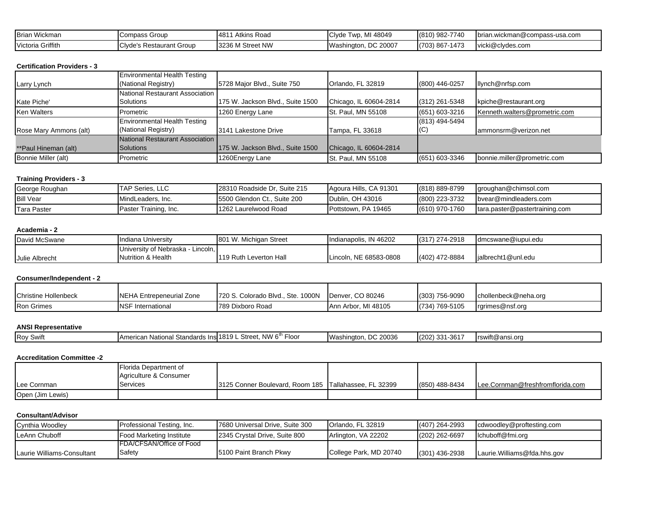| <b>Brian Wickman</b> | . Group<br><b>Compass</b>                  | 1481'<br>Atkins Road | 48049<br>$\cdot$ h $\sim$<br>TWD.<br>UNUE | (810) 982-7740                 | brian.wickman@compass-usa.com |
|----------------------|--------------------------------------------|----------------------|-------------------------------------------|--------------------------------|-------------------------------|
| Victoria Griffith    | ``lwda'c<br>Restaurant Group ،<br>LUIVUU 5 | 3236 M Street NW     | C 20007م<br>/Vasr<br>≅hinaton.            | $\rightarrow$<br>$(703) 867 -$ | vicki@clydes.com              |

### **Certification Providers - 3**

|                        | <b>Environmental Health Testing</b> |                                  |                        |                  |                               |
|------------------------|-------------------------------------|----------------------------------|------------------------|------------------|-------------------------------|
| Larry Lynch            | (National Registry)                 | 5728 Major Blvd., Suite 750      | Orlando, FL 32819      | (800) 446-0257   | llynch@nrfsp.com              |
|                        | National Restaurant Association     |                                  |                        |                  |                               |
| Kate Piche'            | Solutions                           | 175 W. Jackson Blvd., Suite 1500 | Chicago, IL 60604-2814 | $(312)$ 261-5348 | kpiche@restaurant.org         |
| <b>Ken Walters</b>     | Prometric                           | 1260 Energy Lane                 | St. Paul, MN 55108     | (651) 603-3216   | Kenneth.walters@prometric.com |
|                        | <b>Environmental Health Testing</b> |                                  |                        | (813) 494-5494   |                               |
| Rose Mary Ammons (alt) | (National Registry)                 | 3141 Lakestone Drive             | Tampa, FL 33618        | (C)              | lammonsrm@verizon.net         |
|                        | National Restaurant Association     |                                  |                        |                  |                               |
| **Paul Hineman (alt)   | <b>Solutions</b>                    | 175 W. Jackson Blvd., Suite 1500 | Chicago, IL 60604-2814 |                  |                               |
| Bonnie Miller (alt)    | Prometric                           | 1260Energy Lane                  | St. Paul. MN 55108     | (651) 603-3346   | bonnie.miller@prometric.com   |

## **Training Providers - 3**

| George Roughan     | <b>TAP Series, LLC</b> | 28310 Roadside Dr. Suite 215 | Agoura Hills, CA 91301 | (818) 889-8799 | groughan@chimsol.com           |
|--------------------|------------------------|------------------------------|------------------------|----------------|--------------------------------|
| <b>Bill Vear</b>   | MindLeaders, Inc.      | 15500 Glendon Ct., Suite 200 | Dublin, OH 43016       | (800) 223-3732 | byear@mindleaders.com          |
| <b>Tara Paster</b> | Paster Training, Inc.  | 1262 Laurelwood Road         | Pottstown, PA 19465    | (610) 970-1760 | tara.paster@pastertraining.com |

#### **Academia - 2**

| David McSwane  | Indiana University                 | 801 W. Michigan Street | Indianapolis, IN 46202 | $(317)$ 274-2918 | dmcswane@iupui.edu |
|----------------|------------------------------------|------------------------|------------------------|------------------|--------------------|
|                | University of Nebraska<br>Lincoln. |                        |                        |                  |                    |
| Julie Albrecht | Nutrition & Health                 | 119 Ruth Leverton Hall | Lincoln, NE 68583-0808 | (402) 472-8884   | jalbrecht1@unl.edu |

### **Consumer/Independent - 2**

| Christine Hollenbeck | <b>INEHA Entrepeneurial Zone</b> | 1720 S. Colorado Blvd., Ste. 1000N | Denver, CO 80246    | (303) 756-9090 | Ichollenbeck@neha.org |
|----------------------|----------------------------------|------------------------------------|---------------------|----------------|-----------------------|
| <b>Ron Grimes</b>    | <b>NSF</b> International         | 789 Dixboro Road                   | Ann Arbor, MI 48105 | (734) 769-5105 | rarimes@nsf.org       |

## **ANSI Representative**

|  | . .<br><b>Roy Swift</b> | ı National Standards<br>American | .<br>Ins1819<br>) L Street.<br>Floor<br>. NW | DC 20036<br>Washington. | .0017<br>(202)<br>221<br>1-361<br>، ٻي | rswift@ansi.org |
|--|-------------------------|----------------------------------|----------------------------------------------|-------------------------|----------------------------------------|-----------------|
|--|-------------------------|----------------------------------|----------------------------------------------|-------------------------|----------------------------------------|-----------------|

#### **Accreditation Committee -2**

|                  | <b>IFlorida Department of</b> |                                                        |                |                                  |
|------------------|-------------------------------|--------------------------------------------------------|----------------|----------------------------------|
|                  | Agriculture & Consumer        |                                                        |                |                                  |
| Lee Cornman      | Services                      | 13125 Conner Boulevard, Room 185 Tallahassee, FL 32399 | (850) 488-8434 | Lee.Cornman@freshfromflorida.com |
| Open (Jim Lewis) |                               |                                                        |                |                                  |

#### **Consultant/Advisor**

| Cynthia Woodley            | Professional Testing, Inc.       | 17680 Universal Drive, Suite 300 | <b>IOrlando, FL 32819</b> | (407) 264-2993   | cdwoodlev@proftesting.com   |
|----------------------------|----------------------------------|----------------------------------|---------------------------|------------------|-----------------------------|
| <b>ILeAnn Chuboff</b>      | <b>IFood Marketing Institute</b> | 2345 Crystal Drive, Suite 800    | Arlington, VA 22202       | (202) 262-6697   | lchuboff@fmi.org            |
|                            | <b>IFDA/CFSAN/Office of Food</b> |                                  |                           |                  |                             |
| Laurie Williams-Consultant | Safety                           | 15100 Paint Branch Pkwy          | College Park, MD 20740    | $(301)$ 436-2938 | Laurie.Williams@fda.hhs.gov |